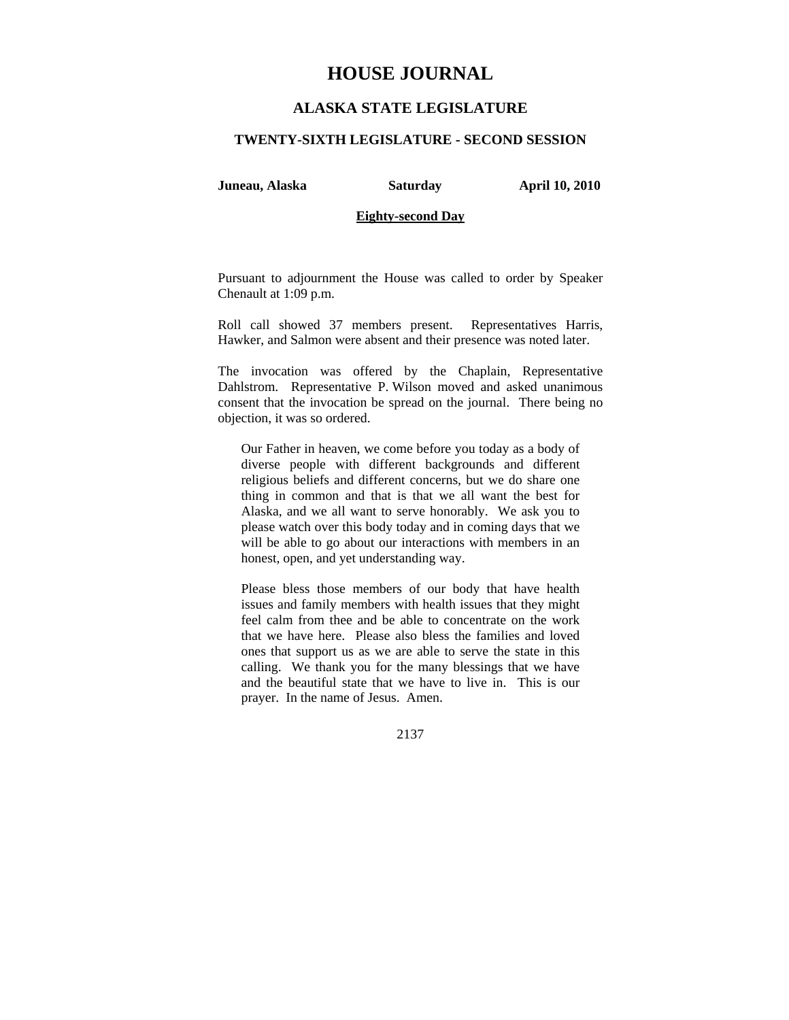# **HOUSE JOURNAL**

# **ALASKA STATE LEGISLATURE**

## **TWENTY-SIXTH LEGISLATURE - SECOND SESSION**

**Juneau, Alaska Saturday April 10, 2010** 

# **Eighty-second Day**

Pursuant to adjournment the House was called to order by Speaker Chenault at 1:09 p.m.

Roll call showed 37 members present. Representatives Harris, Hawker, and Salmon were absent and their presence was noted later.

The invocation was offered by the Chaplain, Representative Dahlstrom. Representative P. Wilson moved and asked unanimous consent that the invocation be spread on the journal. There being no objection, it was so ordered.

Our Father in heaven, we come before you today as a body of diverse people with different backgrounds and different religious beliefs and different concerns, but we do share one thing in common and that is that we all want the best for Alaska, and we all want to serve honorably. We ask you to please watch over this body today and in coming days that we will be able to go about our interactions with members in an honest, open, and yet understanding way.

Please bless those members of our body that have health issues and family members with health issues that they might feel calm from thee and be able to concentrate on the work that we have here. Please also bless the families and loved ones that support us as we are able to serve the state in this calling. We thank you for the many blessings that we have and the beautiful state that we have to live in. This is our prayer. In the name of Jesus. Amen.

2137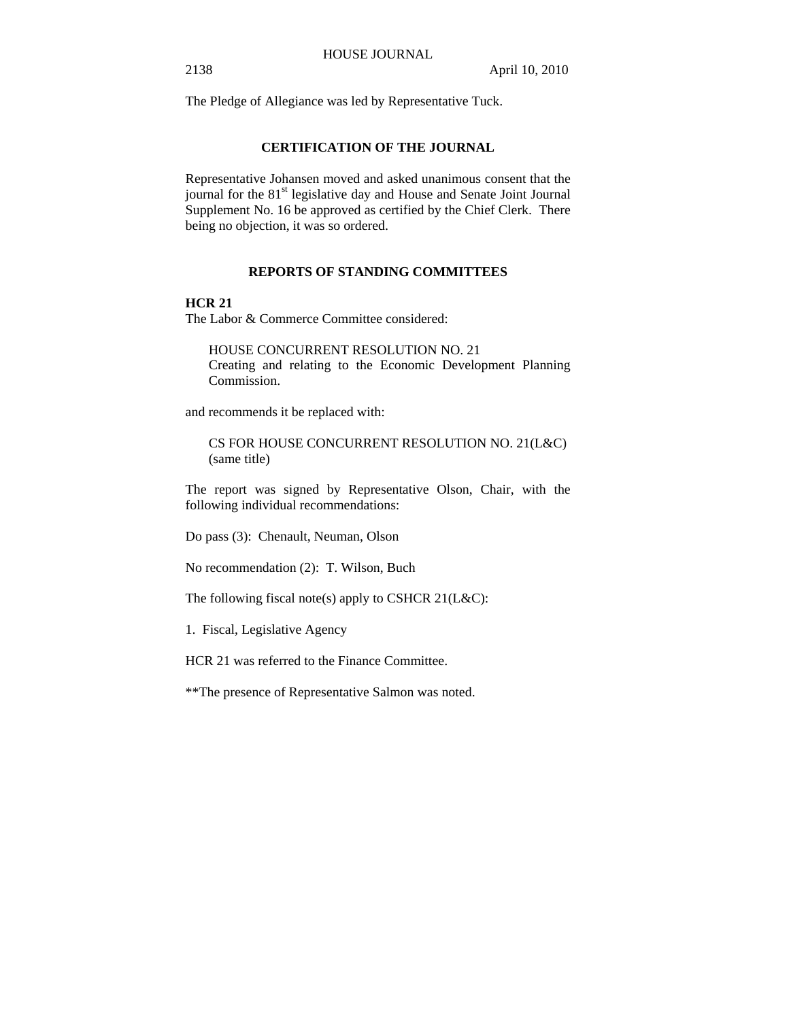The Pledge of Allegiance was led by Representative Tuck.

# **CERTIFICATION OF THE JOURNAL**

Representative Johansen moved and asked unanimous consent that the journal for the 81<sup>st</sup> legislative day and House and Senate Joint Journal Supplement No. 16 be approved as certified by the Chief Clerk. There being no objection, it was so ordered.

# **REPORTS OF STANDING COMMITTEES**

# **HCR 21**

The Labor & Commerce Committee considered:

HOUSE CONCURRENT RESOLUTION NO. 21 Creating and relating to the Economic Development Planning Commission.

and recommends it be replaced with:

CS FOR HOUSE CONCURRENT RESOLUTION NO. 21(L&C) (same title)

The report was signed by Representative Olson, Chair, with the following individual recommendations:

Do pass (3): Chenault, Neuman, Olson

No recommendation (2): T. Wilson, Buch

The following fiscal note(s) apply to CSHCR 21(L&C):

1. Fiscal, Legislative Agency

HCR 21 was referred to the Finance Committee.

\*\*The presence of Representative Salmon was noted.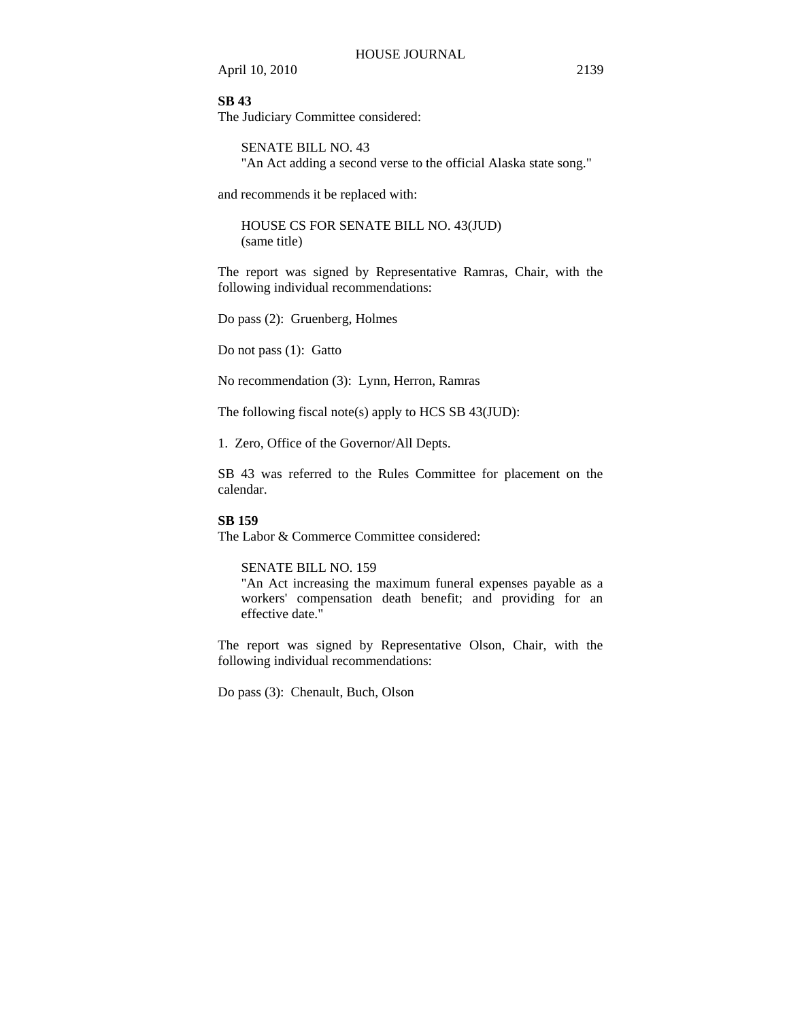# **SB 43**

The Judiciary Committee considered:

SENATE BILL NO. 43 "An Act adding a second verse to the official Alaska state song."

and recommends it be replaced with:

HOUSE CS FOR SENATE BILL NO. 43(JUD) (same title)

The report was signed by Representative Ramras, Chair, with the following individual recommendations:

Do pass (2): Gruenberg, Holmes

Do not pass (1): Gatto

No recommendation (3): Lynn, Herron, Ramras

The following fiscal note(s) apply to HCS SB 43(JUD):

1. Zero, Office of the Governor/All Depts.

SB 43 was referred to the Rules Committee for placement on the calendar.

#### **SB 159**

The Labor & Commerce Committee considered:

## SENATE BILL NO. 159

"An Act increasing the maximum funeral expenses payable as a workers' compensation death benefit; and providing for an effective date."

The report was signed by Representative Olson, Chair, with the following individual recommendations:

Do pass (3): Chenault, Buch, Olson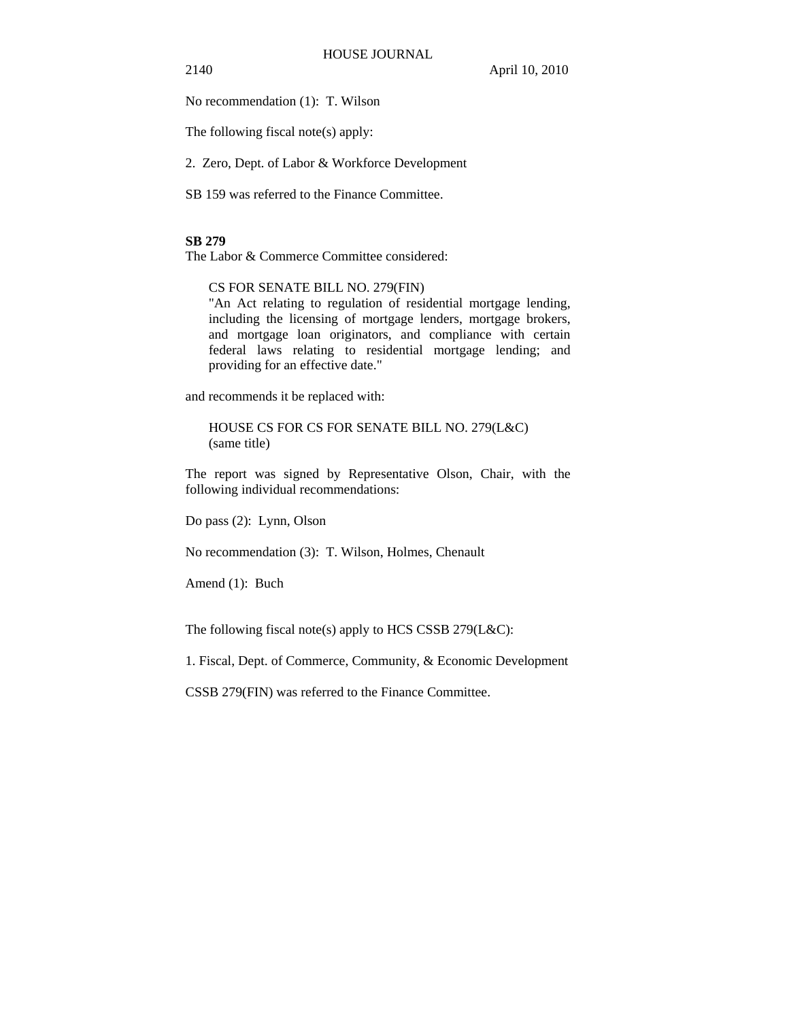No recommendation (1): T. Wilson

The following fiscal note(s) apply:

2. Zero, Dept. of Labor & Workforce Development

SB 159 was referred to the Finance Committee.

# **SB 279**

The Labor & Commerce Committee considered:

CS FOR SENATE BILL NO. 279(FIN)

"An Act relating to regulation of residential mortgage lending, including the licensing of mortgage lenders, mortgage brokers, and mortgage loan originators, and compliance with certain federal laws relating to residential mortgage lending; and providing for an effective date."

and recommends it be replaced with:

HOUSE CS FOR CS FOR SENATE BILL NO. 279(L&C) (same title)

The report was signed by Representative Olson, Chair, with the following individual recommendations:

Do pass (2): Lynn, Olson

No recommendation (3): T. Wilson, Holmes, Chenault

Amend (1): Buch

The following fiscal note(s) apply to HCS CSSB 279(L&C):

1. Fiscal, Dept. of Commerce, Community, & Economic Development

CSSB 279(FIN) was referred to the Finance Committee.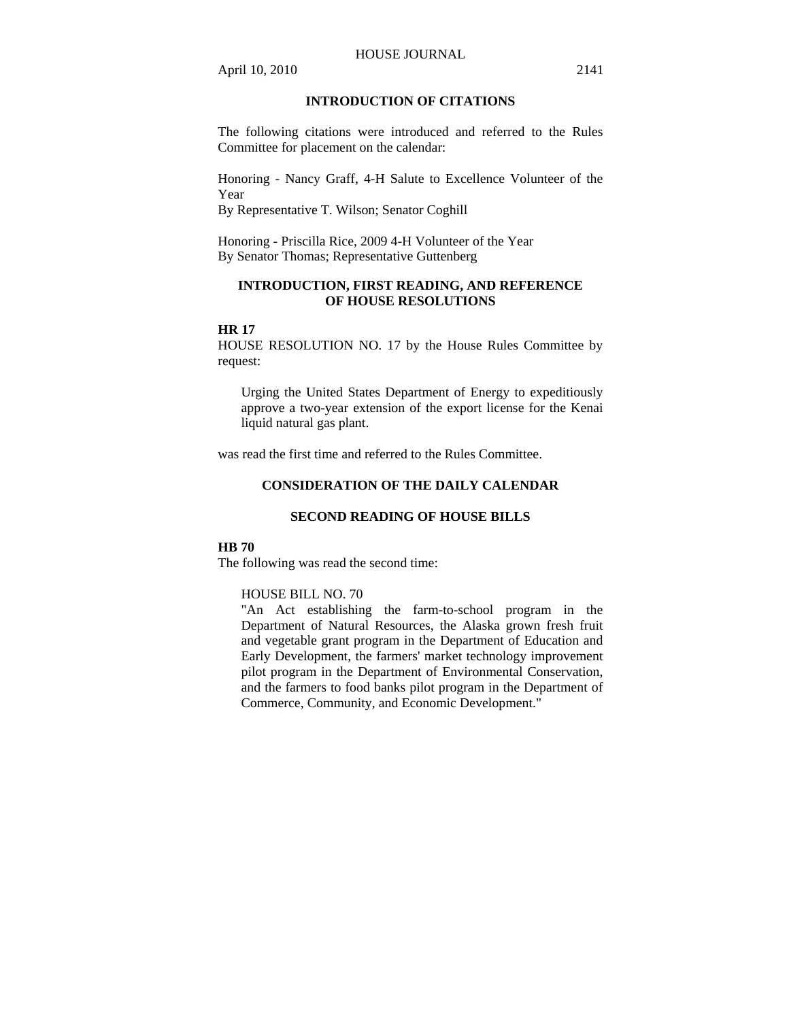# **INTRODUCTION OF CITATIONS**

The following citations were introduced and referred to the Rules Committee for placement on the calendar:

Honoring - Nancy Graff, 4-H Salute to Excellence Volunteer of the Year

By Representative T. Wilson; Senator Coghill

Honoring - Priscilla Rice, 2009 4-H Volunteer of the Year By Senator Thomas; Representative Guttenberg

# **INTRODUCTION, FIRST READING, AND REFERENCE OF HOUSE RESOLUTIONS**

#### **HR 17**

HOUSE RESOLUTION NO. 17 by the House Rules Committee by request:

Urging the United States Department of Energy to expeditiously approve a two-year extension of the export license for the Kenai liquid natural gas plant.

was read the first time and referred to the Rules Committee.

# **CONSIDERATION OF THE DAILY CALENDAR**

# **SECOND READING OF HOUSE BILLS**

# **HB 70**

The following was read the second time:

#### HOUSE BILL NO. 70

"An Act establishing the farm-to-school program in the Department of Natural Resources, the Alaska grown fresh fruit and vegetable grant program in the Department of Education and Early Development, the farmers' market technology improvement pilot program in the Department of Environmental Conservation, and the farmers to food banks pilot program in the Department of Commerce, Community, and Economic Development."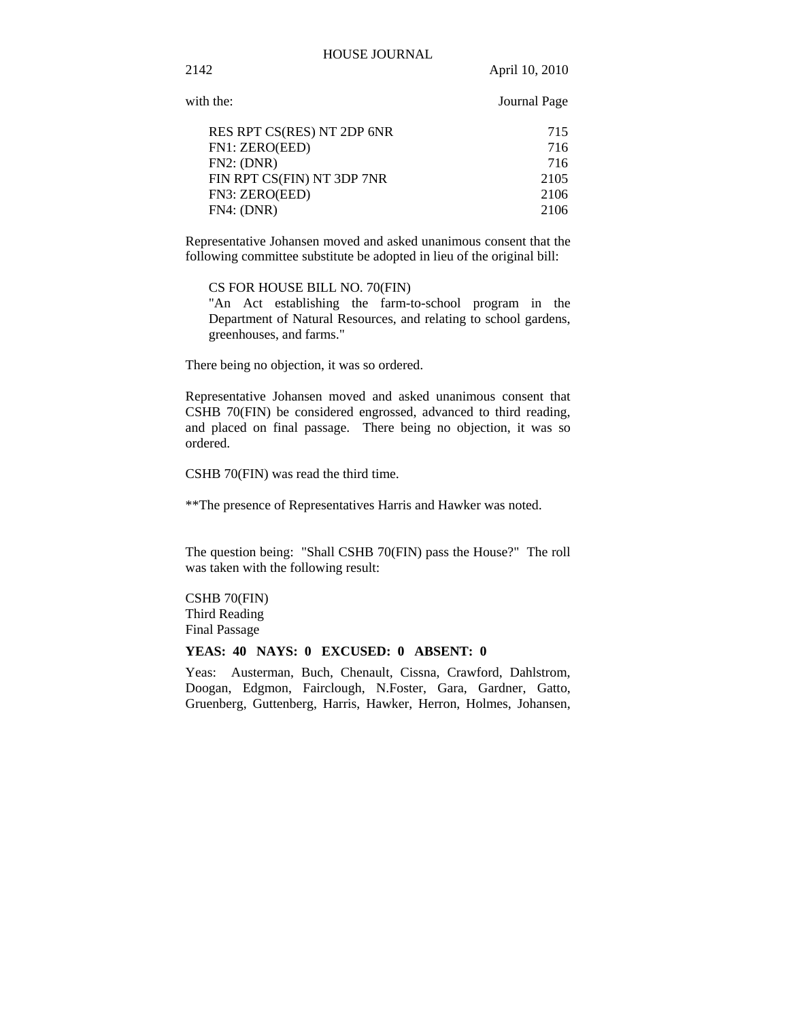with the: Journal Page

2142 April 10, 2010

| RES RPT CS(RES) NT 2DP 6NR | 715  |
|----------------------------|------|
| FN1: ZERO(EED)             | 716  |
| FN2: (DNR)                 | 716  |
| FIN RPT CS(FIN) NT 3DP 7NR | 2105 |
| FN3: ZERO(EED)             | 2106 |
| FN4: (DNR)                 | 2106 |
|                            |      |

Representative Johansen moved and asked unanimous consent that the following committee substitute be adopted in lieu of the original bill:

CS FOR HOUSE BILL NO. 70(FIN)

"An Act establishing the farm-to-school program in the Department of Natural Resources, and relating to school gardens, greenhouses, and farms."

There being no objection, it was so ordered.

Representative Johansen moved and asked unanimous consent that CSHB 70(FIN) be considered engrossed, advanced to third reading, and placed on final passage. There being no objection, it was so ordered.

CSHB 70(FIN) was read the third time.

\*\*The presence of Representatives Harris and Hawker was noted.

The question being: "Shall CSHB 70(FIN) pass the House?" The roll was taken with the following result:

CSHB 70(FIN) Third Reading Final Passage

# **YEAS: 40 NAYS: 0 EXCUSED: 0 ABSENT: 0**

Yeas: Austerman, Buch, Chenault, Cissna, Crawford, Dahlstrom, Doogan, Edgmon, Fairclough, N.Foster, Gara, Gardner, Gatto, Gruenberg, Guttenberg, Harris, Hawker, Herron, Holmes, Johansen,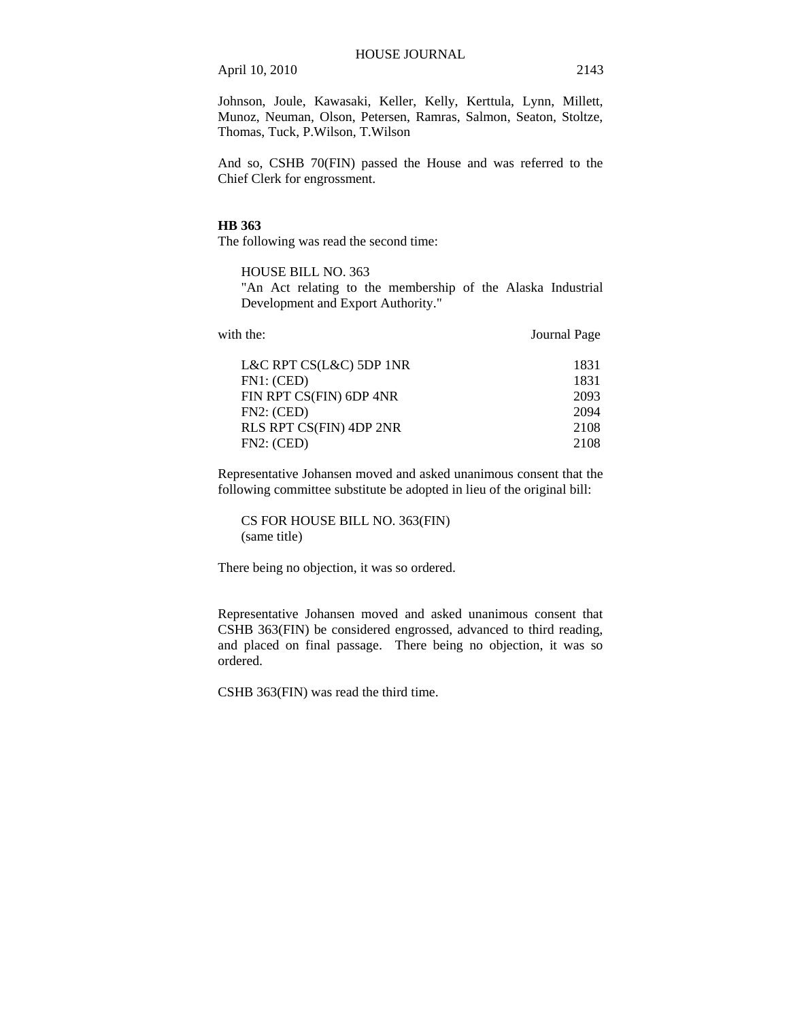Johnson, Joule, Kawasaki, Keller, Kelly, Kerttula, Lynn, Millett, Munoz, Neuman, Olson, Petersen, Ramras, Salmon, Seaton, Stoltze, Thomas, Tuck, P.Wilson, T.Wilson

And so, CSHB 70(FIN) passed the House and was referred to the Chief Clerk for engrossment.

#### **HB 363**

The following was read the second time:

# HOUSE BILL NO. 363

"An Act relating to the membership of the Alaska Industrial Development and Export Authority."

| with the:                      | Journal Page |  |
|--------------------------------|--------------|--|
| L&C RPT CS(L&C) 5DP 1NR        | 1831         |  |
| FN1: (CED)                     | 1831         |  |
| FIN RPT CS(FIN) 6DP 4NR        | 2093         |  |
| FN2: (CED)                     | 2094         |  |
| <b>RLS RPT CS(FIN) 4DP 2NR</b> | 2108         |  |
| FN2: (CED)                     | 2108         |  |

Representative Johansen moved and asked unanimous consent that the following committee substitute be adopted in lieu of the original bill:

CS FOR HOUSE BILL NO. 363(FIN) (same title)

There being no objection, it was so ordered.

Representative Johansen moved and asked unanimous consent that CSHB 363(FIN) be considered engrossed, advanced to third reading, and placed on final passage. There being no objection, it was so ordered.

CSHB 363(FIN) was read the third time.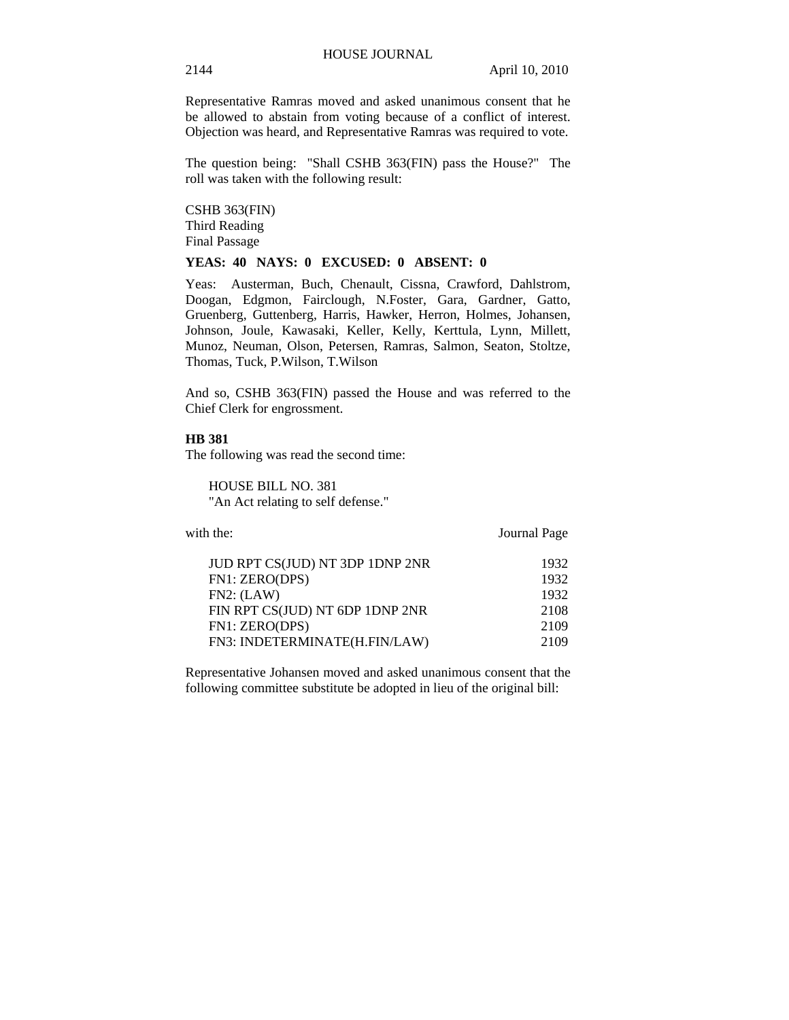Representative Ramras moved and asked unanimous consent that he be allowed to abstain from voting because of a conflict of interest. Objection was heard, and Representative Ramras was required to vote.

The question being: "Shall CSHB 363(FIN) pass the House?" The roll was taken with the following result:

CSHB 363(FIN) Third Reading Final Passage

# **YEAS: 40 NAYS: 0 EXCUSED: 0 ABSENT: 0**

Yeas: Austerman, Buch, Chenault, Cissna, Crawford, Dahlstrom, Doogan, Edgmon, Fairclough, N.Foster, Gara, Gardner, Gatto, Gruenberg, Guttenberg, Harris, Hawker, Herron, Holmes, Johansen, Johnson, Joule, Kawasaki, Keller, Kelly, Kerttula, Lynn, Millett, Munoz, Neuman, Olson, Petersen, Ramras, Salmon, Seaton, Stoltze, Thomas, Tuck, P.Wilson, T.Wilson

And so, CSHB 363(FIN) passed the House and was referred to the Chief Clerk for engrossment.

#### **HB 381**

The following was read the second time:

HOUSE BILL NO. 381 "An Act relating to self defense."

with the: Journal Page

| JUD RPT CS(JUD) NT 3DP 1DNP 2NR | 1932 |
|---------------------------------|------|
| FN1: ZERO(DPS)                  | 1932 |
| FN2: (LAW)                      | 1932 |
| FIN RPT CS(JUD) NT 6DP 1DNP 2NR | 2108 |
| FN1: ZERO(DPS)                  | 2109 |
| FN3: INDETERMINATE(H.FIN/LAW)   | 2109 |

Representative Johansen moved and asked unanimous consent that the following committee substitute be adopted in lieu of the original bill: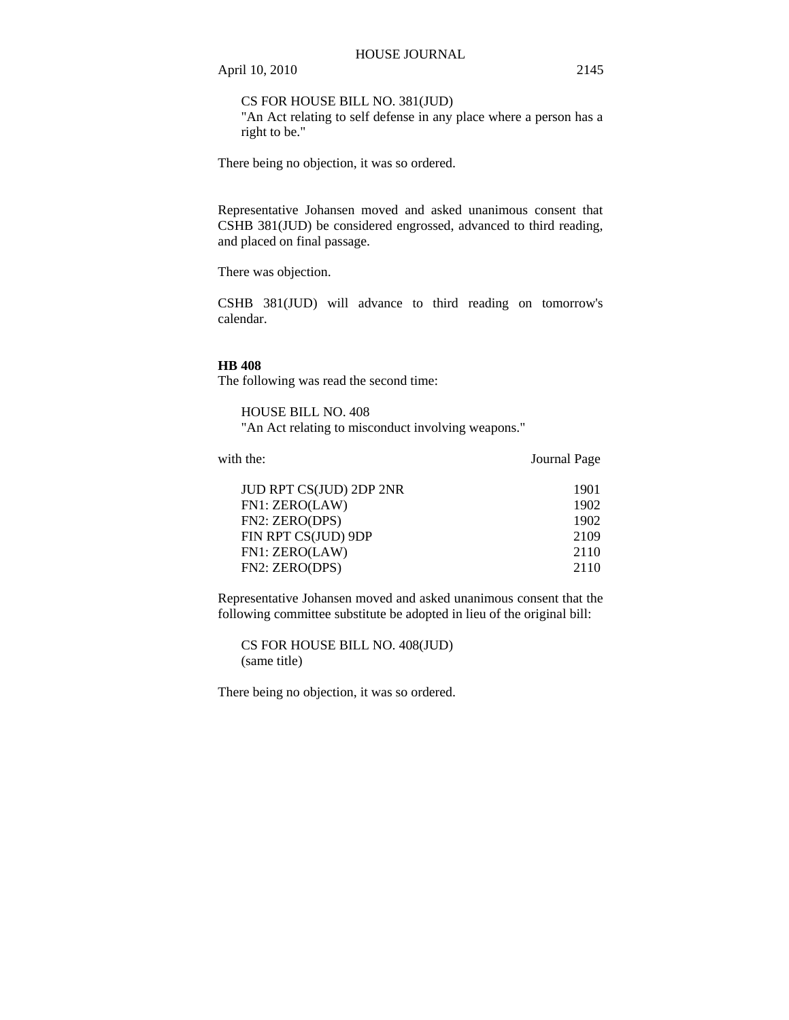CS FOR HOUSE BILL NO. 381(JUD)

"An Act relating to self defense in any place where a person has a right to be."

There being no objection, it was so ordered.

Representative Johansen moved and asked unanimous consent that CSHB 381(JUD) be considered engrossed, advanced to third reading, and placed on final passage.

There was objection.

CSHB 381(JUD) will advance to third reading on tomorrow's calendar.

# **HB 408**

The following was read the second time:

HOUSE BILL NO. 408 "An Act relating to misconduct involving weapons."

with the: **Journal Page** 

| <b>JUD RPT CS(JUD) 2DP 2NR</b> | 1901 |
|--------------------------------|------|
| FN1: ZERO(LAW)                 | 1902 |
| FN2: ZERO(DPS)                 | 1902 |
| FIN RPT CS(JUD) 9DP            | 2109 |
| FN1: ZERO(LAW)                 | 2110 |
| FN2: ZERO(DPS)                 | 2110 |
|                                |      |

Representative Johansen moved and asked unanimous consent that the following committee substitute be adopted in lieu of the original bill:

CS FOR HOUSE BILL NO. 408(JUD) (same title)

There being no objection, it was so ordered.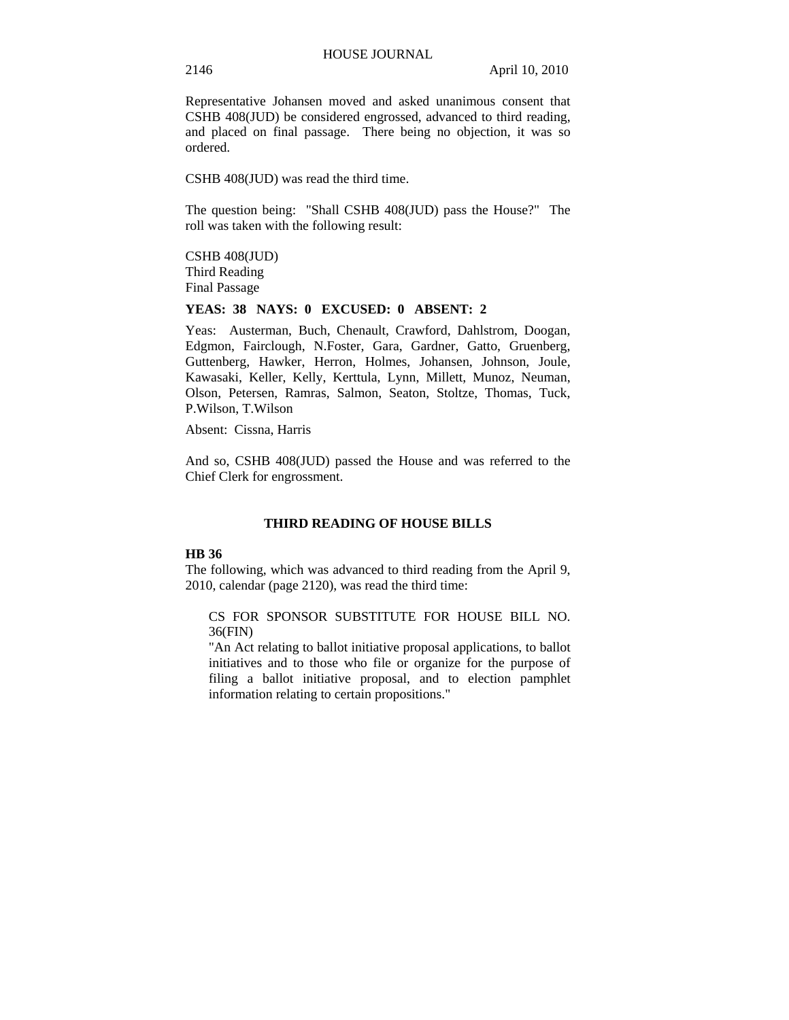Representative Johansen moved and asked unanimous consent that CSHB 408(JUD) be considered engrossed, advanced to third reading, and placed on final passage. There being no objection, it was so ordered.

CSHB 408(JUD) was read the third time.

The question being: "Shall CSHB 408(JUD) pass the House?" The roll was taken with the following result:

CSHB 408(JUD) Third Reading Final Passage

#### **YEAS: 38 NAYS: 0 EXCUSED: 0 ABSENT: 2**

Yeas: Austerman, Buch, Chenault, Crawford, Dahlstrom, Doogan, Edgmon, Fairclough, N.Foster, Gara, Gardner, Gatto, Gruenberg, Guttenberg, Hawker, Herron, Holmes, Johansen, Johnson, Joule, Kawasaki, Keller, Kelly, Kerttula, Lynn, Millett, Munoz, Neuman, Olson, Petersen, Ramras, Salmon, Seaton, Stoltze, Thomas, Tuck, P.Wilson, T.Wilson

Absent: Cissna, Harris

And so, CSHB 408(JUD) passed the House and was referred to the Chief Clerk for engrossment.

## **THIRD READING OF HOUSE BILLS**

## **HB 36**

The following, which was advanced to third reading from the April 9, 2010, calendar (page 2120), was read the third time:

CS FOR SPONSOR SUBSTITUTE FOR HOUSE BILL NO. 36(FIN)

"An Act relating to ballot initiative proposal applications, to ballot initiatives and to those who file or organize for the purpose of filing a ballot initiative proposal, and to election pamphlet information relating to certain propositions."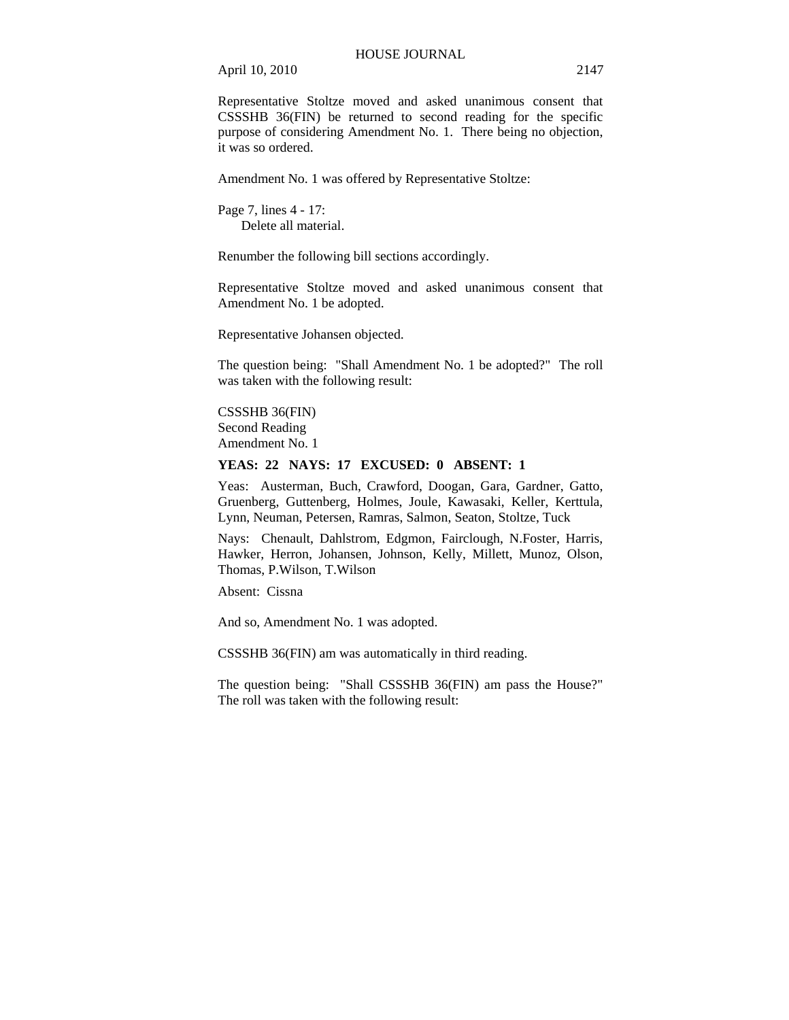Representative Stoltze moved and asked unanimous consent that CSSSHB 36(FIN) be returned to second reading for the specific purpose of considering Amendment No. 1. There being no objection, it was so ordered.

Amendment No. 1 was offered by Representative Stoltze:

Page 7, lines 4 - 17: Delete all material.

Renumber the following bill sections accordingly.

Representative Stoltze moved and asked unanimous consent that Amendment No. 1 be adopted.

Representative Johansen objected.

The question being: "Shall Amendment No. 1 be adopted?" The roll was taken with the following result:

CSSSHB 36(FIN) Second Reading Amendment No. 1

#### **YEAS: 22 NAYS: 17 EXCUSED: 0 ABSENT: 1**

Yeas: Austerman, Buch, Crawford, Doogan, Gara, Gardner, Gatto, Gruenberg, Guttenberg, Holmes, Joule, Kawasaki, Keller, Kerttula, Lynn, Neuman, Petersen, Ramras, Salmon, Seaton, Stoltze, Tuck

Nays: Chenault, Dahlstrom, Edgmon, Fairclough, N.Foster, Harris, Hawker, Herron, Johansen, Johnson, Kelly, Millett, Munoz, Olson, Thomas, P.Wilson, T.Wilson

Absent: Cissna

And so, Amendment No. 1 was adopted.

CSSSHB 36(FIN) am was automatically in third reading.

The question being: "Shall CSSSHB 36(FIN) am pass the House?" The roll was taken with the following result: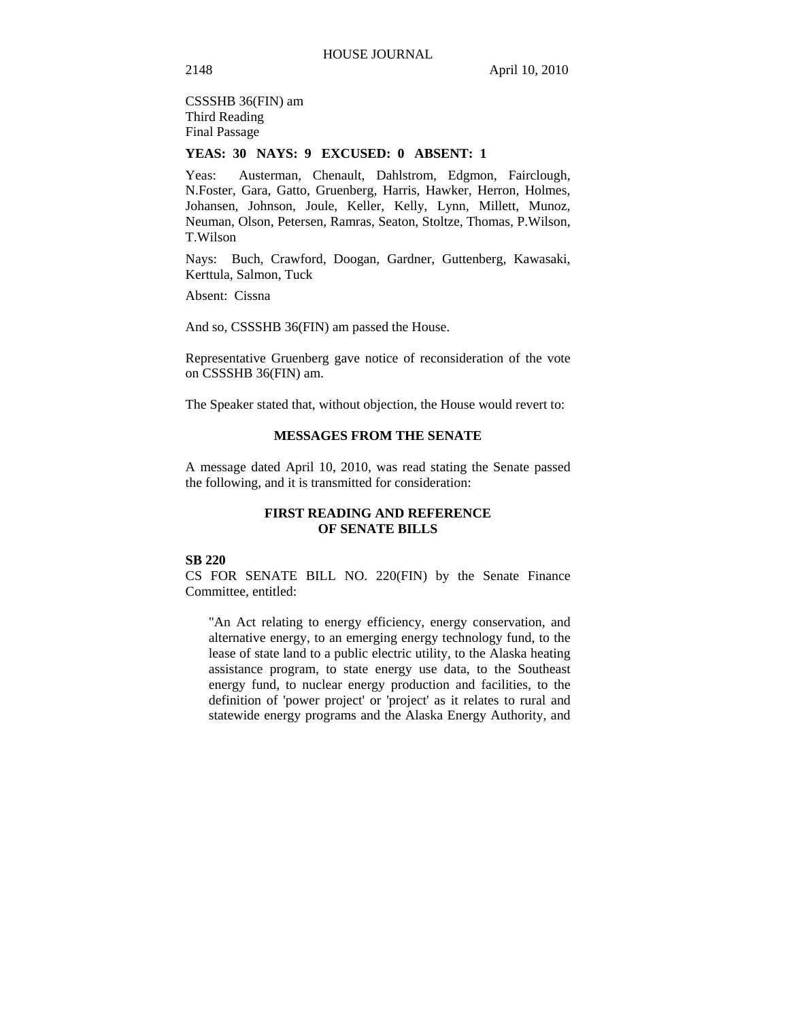CSSSHB 36(FIN) am

Third Reading Final Passage

# **YEAS: 30 NAYS: 9 EXCUSED: 0 ABSENT: 1**

Yeas: Austerman, Chenault, Dahlstrom, Edgmon, Fairclough, N.Foster, Gara, Gatto, Gruenberg, Harris, Hawker, Herron, Holmes, Johansen, Johnson, Joule, Keller, Kelly, Lynn, Millett, Munoz, Neuman, Olson, Petersen, Ramras, Seaton, Stoltze, Thomas, P.Wilson, T.Wilson

Nays: Buch, Crawford, Doogan, Gardner, Guttenberg, Kawasaki, Kerttula, Salmon, Tuck

Absent: Cissna

And so, CSSSHB 36(FIN) am passed the House.

Representative Gruenberg gave notice of reconsideration of the vote on CSSSHB 36(FIN) am.

The Speaker stated that, without objection, the House would revert to:

# **MESSAGES FROM THE SENATE**

A message dated April 10, 2010, was read stating the Senate passed the following, and it is transmitted for consideration:

# **FIRST READING AND REFERENCE OF SENATE BILLS**

# **SB 220**

CS FOR SENATE BILL NO. 220(FIN) by the Senate Finance Committee, entitled:

"An Act relating to energy efficiency, energy conservation, and alternative energy, to an emerging energy technology fund, to the lease of state land to a public electric utility, to the Alaska heating assistance program, to state energy use data, to the Southeast energy fund, to nuclear energy production and facilities, to the definition of 'power project' or 'project' as it relates to rural and statewide energy programs and the Alaska Energy Authority, and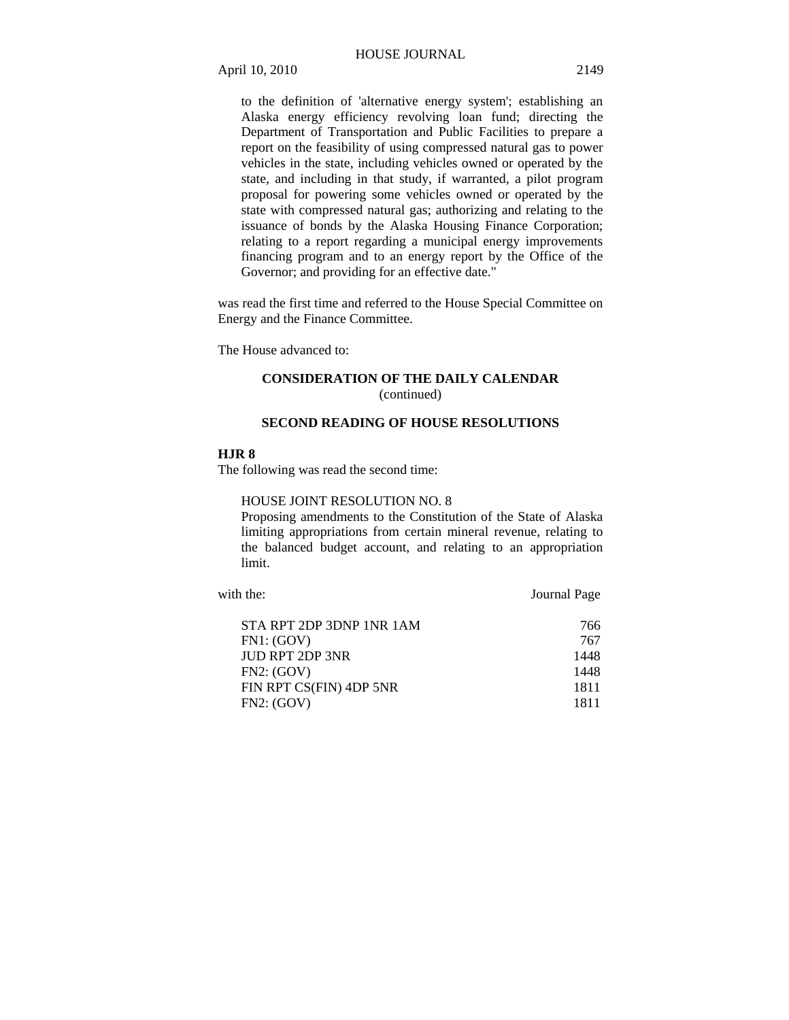to the definition of 'alternative energy system'; establishing an Alaska energy efficiency revolving loan fund; directing the Department of Transportation and Public Facilities to prepare a report on the feasibility of using compressed natural gas to power vehicles in the state, including vehicles owned or operated by the state, and including in that study, if warranted, a pilot program proposal for powering some vehicles owned or operated by the state with compressed natural gas; authorizing and relating to the issuance of bonds by the Alaska Housing Finance Corporation; relating to a report regarding a municipal energy improvements financing program and to an energy report by the Office of the Governor; and providing for an effective date."

was read the first time and referred to the House Special Committee on Energy and the Finance Committee.

The House advanced to:

# **CONSIDERATION OF THE DAILY CALENDAR**  (continued)

# **SECOND READING OF HOUSE RESOLUTIONS**

# **HJR 8**

The following was read the second time:

#### HOUSE JOINT RESOLUTION NO. 8

Proposing amendments to the Constitution of the State of Alaska limiting appropriations from certain mineral revenue, relating to the balanced budget account, and relating to an appropriation limit.

with the: **Journal Page** 

| STA RPT 2DP 3DNP 1NR 1AM | 766  |
|--------------------------|------|
| FN1: (GOV)               | 767  |
| <b>IUD RPT 2DP 3NR</b>   | 1448 |
| FN2: (GOV)               | 1448 |
| FIN RPT CS(FIN) 4DP 5NR  | 1811 |
| FN2: (GOV)               | 1811 |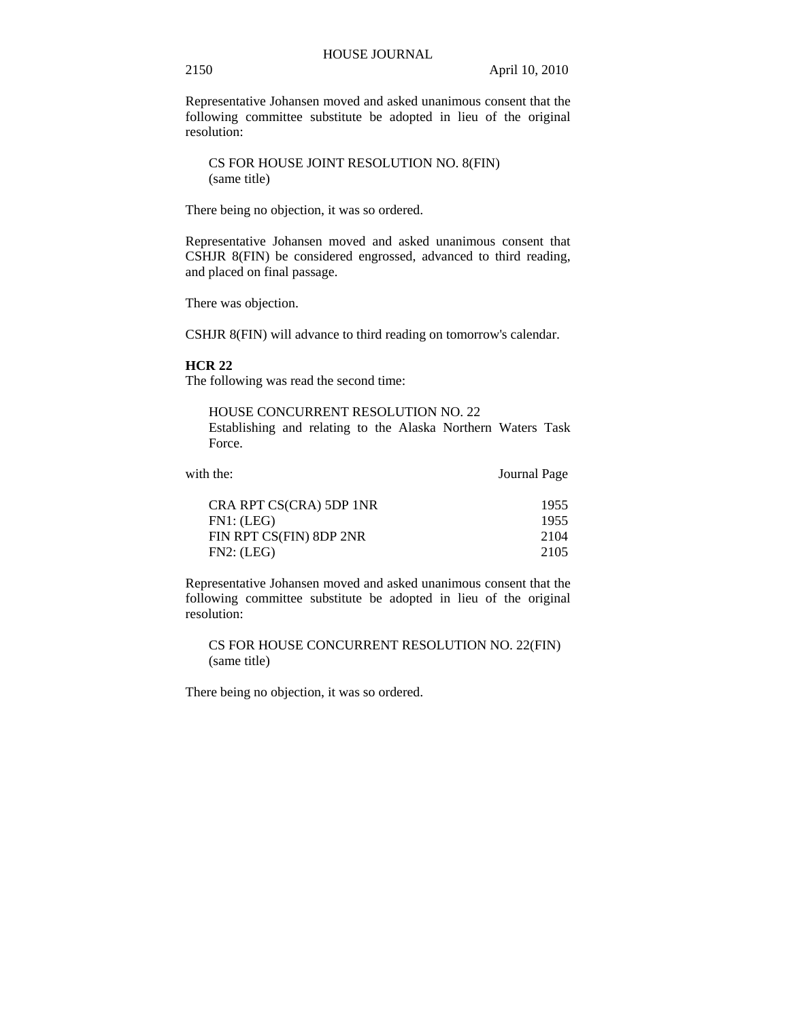Representative Johansen moved and asked unanimous consent that the following committee substitute be adopted in lieu of the original resolution:

CS FOR HOUSE JOINT RESOLUTION NO. 8(FIN) (same title)

There being no objection, it was so ordered.

Representative Johansen moved and asked unanimous consent that CSHJR 8(FIN) be considered engrossed, advanced to third reading, and placed on final passage.

There was objection.

CSHJR 8(FIN) will advance to third reading on tomorrow's calendar.

# **HCR 22**

The following was read the second time:

HOUSE CONCURRENT RESOLUTION NO. 22 Establishing and relating to the Alaska Northern Waters Task Force.

| CRA RPT CS(CRA) 5DP 1NR | 1955 |
|-------------------------|------|
| FN1: (LEG)              | 1955 |
| FIN RPT CS(FIN) 8DP 2NR | 2104 |
| FN2: (LEG)              | 2105 |

with the: **Journal Page** 

Representative Johansen moved and asked unanimous consent that the following committee substitute be adopted in lieu of the original resolution:

CS FOR HOUSE CONCURRENT RESOLUTION NO. 22(FIN) (same title)

There being no objection, it was so ordered.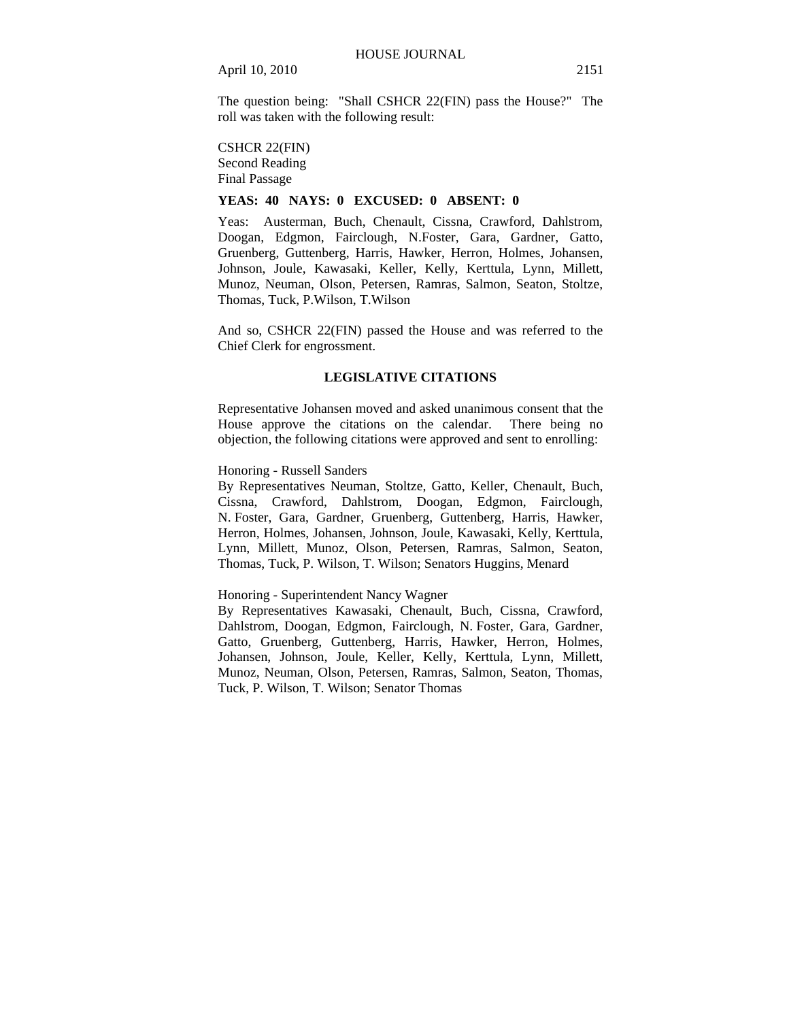The question being: "Shall CSHCR 22(FIN) pass the House?" The roll was taken with the following result:

#### CSHCR 22(FIN)

Second Reading Final Passage

# **YEAS: 40 NAYS: 0 EXCUSED: 0 ABSENT: 0**

Yeas: Austerman, Buch, Chenault, Cissna, Crawford, Dahlstrom, Doogan, Edgmon, Fairclough, N.Foster, Gara, Gardner, Gatto, Gruenberg, Guttenberg, Harris, Hawker, Herron, Holmes, Johansen, Johnson, Joule, Kawasaki, Keller, Kelly, Kerttula, Lynn, Millett, Munoz, Neuman, Olson, Petersen, Ramras, Salmon, Seaton, Stoltze, Thomas, Tuck, P.Wilson, T.Wilson

And so, CSHCR 22(FIN) passed the House and was referred to the Chief Clerk for engrossment.

# **LEGISLATIVE CITATIONS**

Representative Johansen moved and asked unanimous consent that the House approve the citations on the calendar. There being no objection, the following citations were approved and sent to enrolling:

# Honoring - Russell Sanders

By Representatives Neuman, Stoltze, Gatto, Keller, Chenault, Buch, Cissna, Crawford, Dahlstrom, Doogan, Edgmon, Fairclough, N. Foster, Gara, Gardner, Gruenberg, Guttenberg, Harris, Hawker, Herron, Holmes, Johansen, Johnson, Joule, Kawasaki, Kelly, Kerttula, Lynn, Millett, Munoz, Olson, Petersen, Ramras, Salmon, Seaton, Thomas, Tuck, P. Wilson, T. Wilson; Senators Huggins, Menard

# Honoring - Superintendent Nancy Wagner

By Representatives Kawasaki, Chenault, Buch, Cissna, Crawford, Dahlstrom, Doogan, Edgmon, Fairclough, N. Foster, Gara, Gardner, Gatto, Gruenberg, Guttenberg, Harris, Hawker, Herron, Holmes, Johansen, Johnson, Joule, Keller, Kelly, Kerttula, Lynn, Millett, Munoz, Neuman, Olson, Petersen, Ramras, Salmon, Seaton, Thomas, Tuck, P. Wilson, T. Wilson; Senator Thomas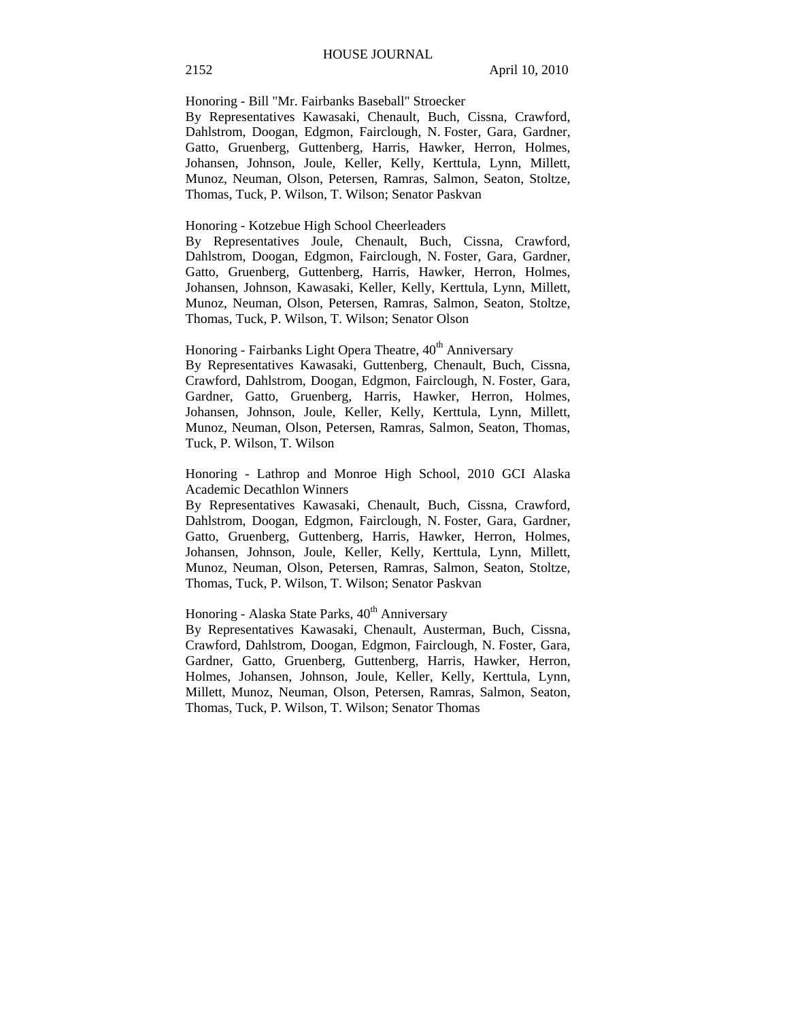Honoring - Bill "Mr. Fairbanks Baseball" Stroecker

By Representatives Kawasaki, Chenault, Buch, Cissna, Crawford, Dahlstrom, Doogan, Edgmon, Fairclough, N. Foster, Gara, Gardner, Gatto, Gruenberg, Guttenberg, Harris, Hawker, Herron, Holmes, Johansen, Johnson, Joule, Keller, Kelly, Kerttula, Lynn, Millett, Munoz, Neuman, Olson, Petersen, Ramras, Salmon, Seaton, Stoltze, Thomas, Tuck, P. Wilson, T. Wilson; Senator Paskvan

## Honoring - Kotzebue High School Cheerleaders

By Representatives Joule, Chenault, Buch, Cissna, Crawford, Dahlstrom, Doogan, Edgmon, Fairclough, N. Foster, Gara, Gardner, Gatto, Gruenberg, Guttenberg, Harris, Hawker, Herron, Holmes, Johansen, Johnson, Kawasaki, Keller, Kelly, Kerttula, Lynn, Millett, Munoz, Neuman, Olson, Petersen, Ramras, Salmon, Seaton, Stoltze, Thomas, Tuck, P. Wilson, T. Wilson; Senator Olson

Honoring - Fairbanks Light Opera Theatre, 40<sup>th</sup> Anniversary

By Representatives Kawasaki, Guttenberg, Chenault, Buch, Cissna, Crawford, Dahlstrom, Doogan, Edgmon, Fairclough, N. Foster, Gara, Gardner, Gatto, Gruenberg, Harris, Hawker, Herron, Holmes, Johansen, Johnson, Joule, Keller, Kelly, Kerttula, Lynn, Millett, Munoz, Neuman, Olson, Petersen, Ramras, Salmon, Seaton, Thomas, Tuck, P. Wilson, T. Wilson

Honoring - Lathrop and Monroe High School, 2010 GCI Alaska Academic Decathlon Winners

By Representatives Kawasaki, Chenault, Buch, Cissna, Crawford, Dahlstrom, Doogan, Edgmon, Fairclough, N. Foster, Gara, Gardner, Gatto, Gruenberg, Guttenberg, Harris, Hawker, Herron, Holmes, Johansen, Johnson, Joule, Keller, Kelly, Kerttula, Lynn, Millett, Munoz, Neuman, Olson, Petersen, Ramras, Salmon, Seaton, Stoltze, Thomas, Tuck, P. Wilson, T. Wilson; Senator Paskvan

# Honoring - Alaska State Parks, 40<sup>th</sup> Anniversary

By Representatives Kawasaki, Chenault, Austerman, Buch, Cissna, Crawford, Dahlstrom, Doogan, Edgmon, Fairclough, N. Foster, Gara, Gardner, Gatto, Gruenberg, Guttenberg, Harris, Hawker, Herron, Holmes, Johansen, Johnson, Joule, Keller, Kelly, Kerttula, Lynn, Millett, Munoz, Neuman, Olson, Petersen, Ramras, Salmon, Seaton, Thomas, Tuck, P. Wilson, T. Wilson; Senator Thomas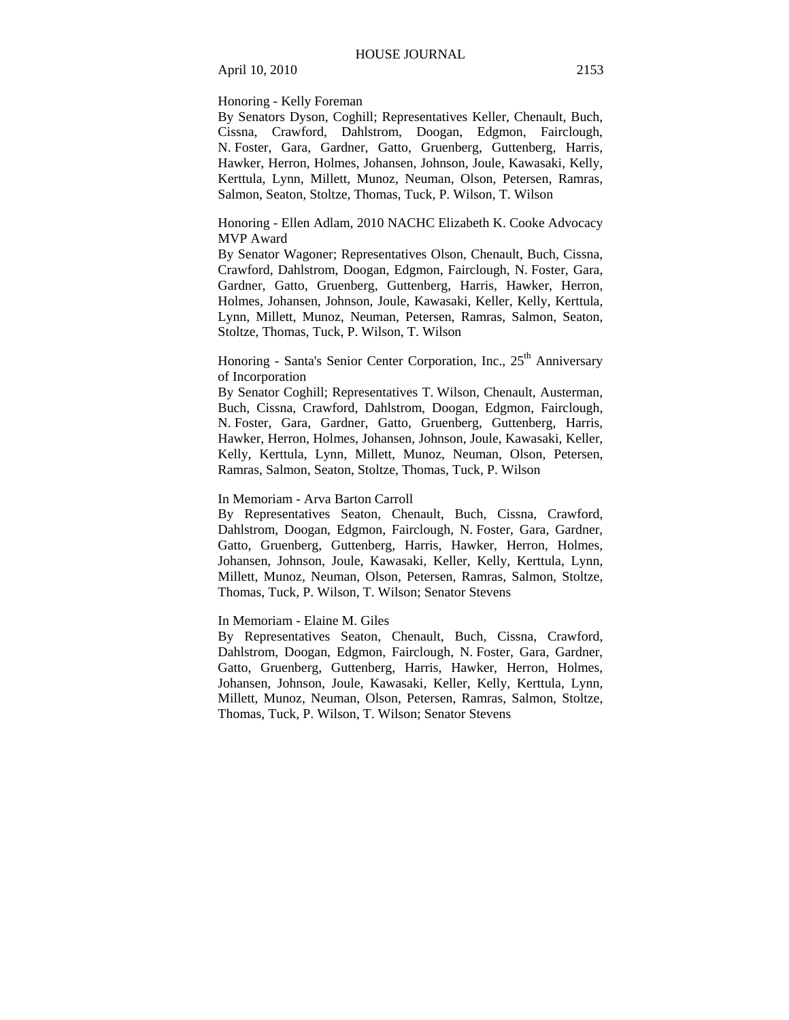Honoring - Kelly Foreman

By Senators Dyson, Coghill; Representatives Keller, Chenault, Buch, Cissna, Crawford, Dahlstrom, Doogan, Edgmon, Fairclough, N. Foster, Gara, Gardner, Gatto, Gruenberg, Guttenberg, Harris, Hawker, Herron, Holmes, Johansen, Johnson, Joule, Kawasaki, Kelly, Kerttula, Lynn, Millett, Munoz, Neuman, Olson, Petersen, Ramras, Salmon, Seaton, Stoltze, Thomas, Tuck, P. Wilson, T. Wilson

Honoring - Ellen Adlam, 2010 NACHC Elizabeth K. Cooke Advocacy MVP Award

By Senator Wagoner; Representatives Olson, Chenault, Buch, Cissna, Crawford, Dahlstrom, Doogan, Edgmon, Fairclough, N. Foster, Gara, Gardner, Gatto, Gruenberg, Guttenberg, Harris, Hawker, Herron, Holmes, Johansen, Johnson, Joule, Kawasaki, Keller, Kelly, Kerttula, Lynn, Millett, Munoz, Neuman, Petersen, Ramras, Salmon, Seaton, Stoltze, Thomas, Tuck, P. Wilson, T. Wilson

Honoring - Santa's Senior Center Corporation, Inc., 25<sup>th</sup> Anniversary of Incorporation

By Senator Coghill; Representatives T. Wilson, Chenault, Austerman, Buch, Cissna, Crawford, Dahlstrom, Doogan, Edgmon, Fairclough, N. Foster, Gara, Gardner, Gatto, Gruenberg, Guttenberg, Harris, Hawker, Herron, Holmes, Johansen, Johnson, Joule, Kawasaki, Keller, Kelly, Kerttula, Lynn, Millett, Munoz, Neuman, Olson, Petersen, Ramras, Salmon, Seaton, Stoltze, Thomas, Tuck, P. Wilson

#### In Memoriam - Arva Barton Carroll

By Representatives Seaton, Chenault, Buch, Cissna, Crawford, Dahlstrom, Doogan, Edgmon, Fairclough, N. Foster, Gara, Gardner, Gatto, Gruenberg, Guttenberg, Harris, Hawker, Herron, Holmes, Johansen, Johnson, Joule, Kawasaki, Keller, Kelly, Kerttula, Lynn, Millett, Munoz, Neuman, Olson, Petersen, Ramras, Salmon, Stoltze, Thomas, Tuck, P. Wilson, T. Wilson; Senator Stevens

In Memoriam - Elaine M. Giles

By Representatives Seaton, Chenault, Buch, Cissna, Crawford, Dahlstrom, Doogan, Edgmon, Fairclough, N. Foster, Gara, Gardner, Gatto, Gruenberg, Guttenberg, Harris, Hawker, Herron, Holmes, Johansen, Johnson, Joule, Kawasaki, Keller, Kelly, Kerttula, Lynn, Millett, Munoz, Neuman, Olson, Petersen, Ramras, Salmon, Stoltze, Thomas, Tuck, P. Wilson, T. Wilson; Senator Stevens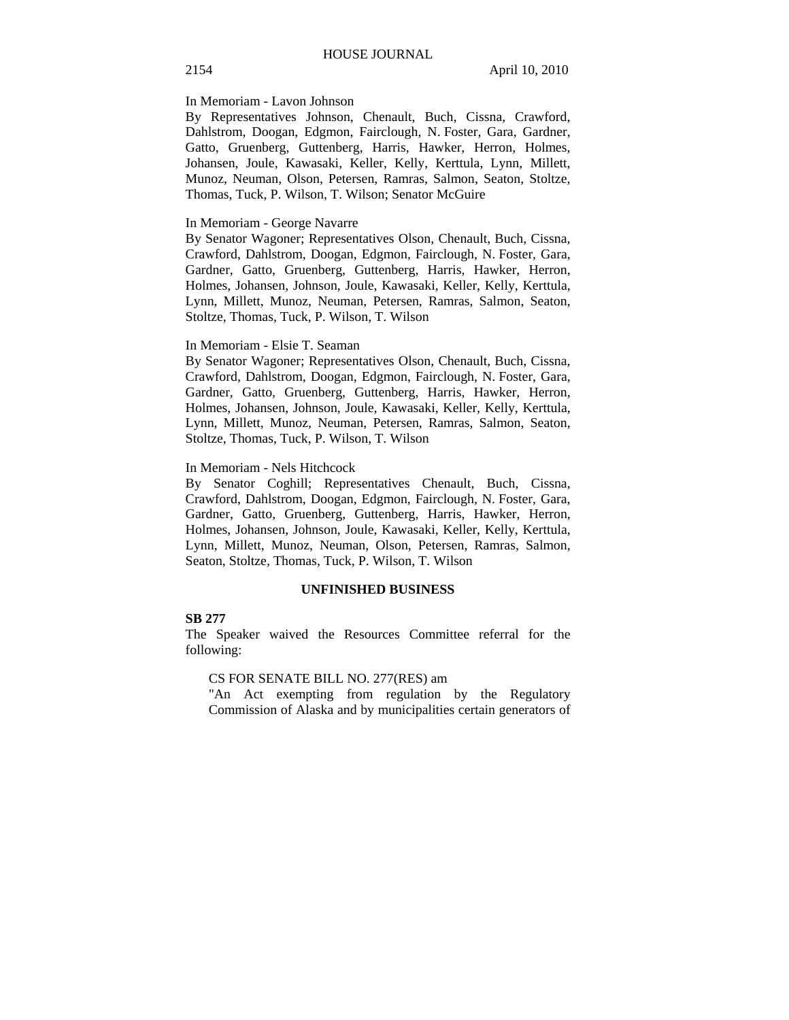#### In Memoriam - Lavon Johnson

By Representatives Johnson, Chenault, Buch, Cissna, Crawford, Dahlstrom, Doogan, Edgmon, Fairclough, N. Foster, Gara, Gardner, Gatto, Gruenberg, Guttenberg, Harris, Hawker, Herron, Holmes, Johansen, Joule, Kawasaki, Keller, Kelly, Kerttula, Lynn, Millett, Munoz, Neuman, Olson, Petersen, Ramras, Salmon, Seaton, Stoltze, Thomas, Tuck, P. Wilson, T. Wilson; Senator McGuire

#### In Memoriam - George Navarre

By Senator Wagoner; Representatives Olson, Chenault, Buch, Cissna, Crawford, Dahlstrom, Doogan, Edgmon, Fairclough, N. Foster, Gara, Gardner, Gatto, Gruenberg, Guttenberg, Harris, Hawker, Herron, Holmes, Johansen, Johnson, Joule, Kawasaki, Keller, Kelly, Kerttula, Lynn, Millett, Munoz, Neuman, Petersen, Ramras, Salmon, Seaton, Stoltze, Thomas, Tuck, P. Wilson, T. Wilson

#### In Memoriam - Elsie T. Seaman

By Senator Wagoner; Representatives Olson, Chenault, Buch, Cissna, Crawford, Dahlstrom, Doogan, Edgmon, Fairclough, N. Foster, Gara, Gardner, Gatto, Gruenberg, Guttenberg, Harris, Hawker, Herron, Holmes, Johansen, Johnson, Joule, Kawasaki, Keller, Kelly, Kerttula, Lynn, Millett, Munoz, Neuman, Petersen, Ramras, Salmon, Seaton, Stoltze, Thomas, Tuck, P. Wilson, T. Wilson

### In Memoriam - Nels Hitchcock

By Senator Coghill; Representatives Chenault, Buch, Cissna, Crawford, Dahlstrom, Doogan, Edgmon, Fairclough, N. Foster, Gara, Gardner, Gatto, Gruenberg, Guttenberg, Harris, Hawker, Herron, Holmes, Johansen, Johnson, Joule, Kawasaki, Keller, Kelly, Kerttula, Lynn, Millett, Munoz, Neuman, Olson, Petersen, Ramras, Salmon, Seaton, Stoltze, Thomas, Tuck, P. Wilson, T. Wilson

# **UNFINISHED BUSINESS**

## **SB 277**

The Speaker waived the Resources Committee referral for the following:

# CS FOR SENATE BILL NO. 277(RES) am

"An Act exempting from regulation by the Regulatory Commission of Alaska and by municipalities certain generators of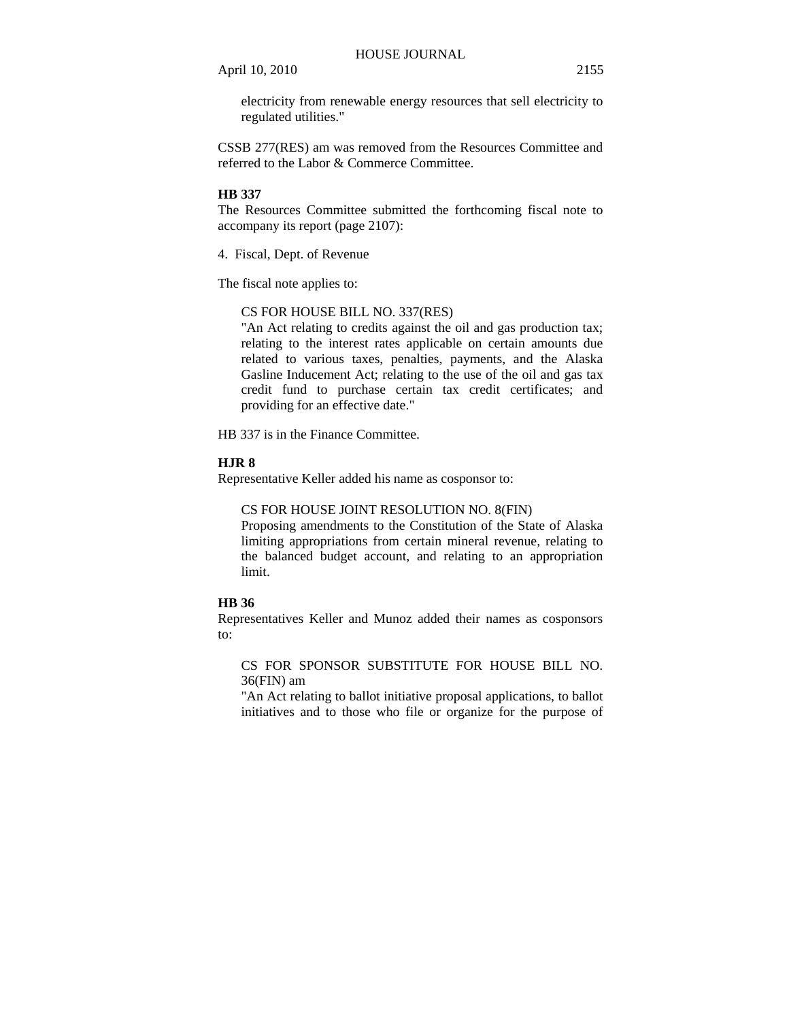electricity from renewable energy resources that sell electricity to regulated utilities."

CSSB 277(RES) am was removed from the Resources Committee and referred to the Labor & Commerce Committee.

## **HB 337**

The Resources Committee submitted the forthcoming fiscal note to accompany its report (page 2107):

4. Fiscal, Dept. of Revenue

The fiscal note applies to:

# CS FOR HOUSE BILL NO. 337(RES)

"An Act relating to credits against the oil and gas production tax; relating to the interest rates applicable on certain amounts due related to various taxes, penalties, payments, and the Alaska Gasline Inducement Act; relating to the use of the oil and gas tax credit fund to purchase certain tax credit certificates; and providing for an effective date."

HB 337 is in the Finance Committee.

## **HJR 8**

Representative Keller added his name as cosponsor to:

CS FOR HOUSE JOINT RESOLUTION NO. 8(FIN)

Proposing amendments to the Constitution of the State of Alaska limiting appropriations from certain mineral revenue, relating to the balanced budget account, and relating to an appropriation limit.

# **HB 36**

Representatives Keller and Munoz added their names as cosponsors to:

CS FOR SPONSOR SUBSTITUTE FOR HOUSE BILL NO. 36(FIN) am

"An Act relating to ballot initiative proposal applications, to ballot initiatives and to those who file or organize for the purpose of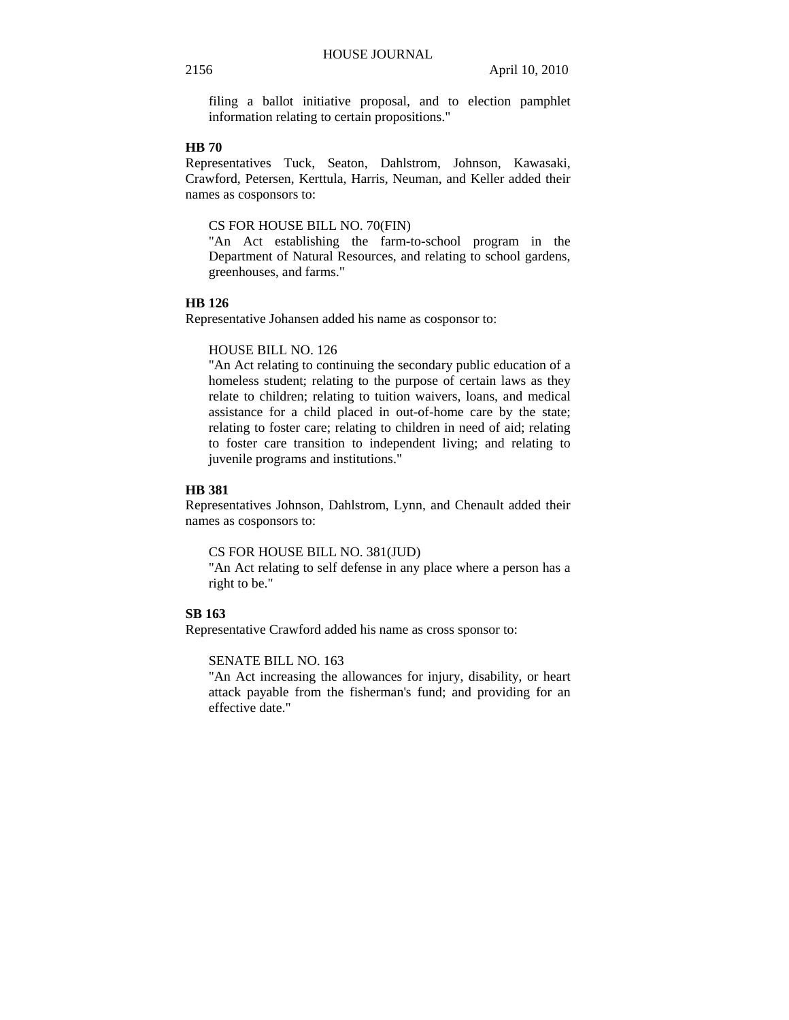filing a ballot initiative proposal, and to election pamphlet information relating to certain propositions."

# **HB 70**

Representatives Tuck, Seaton, Dahlstrom, Johnson, Kawasaki, Crawford, Petersen, Kerttula, Harris, Neuman, and Keller added their names as cosponsors to:

# CS FOR HOUSE BILL NO. 70(FIN)

"An Act establishing the farm-to-school program in the Department of Natural Resources, and relating to school gardens, greenhouses, and farms."

# **HB 126**

Representative Johansen added his name as cosponsor to:

#### HOUSE BILL NO. 126

"An Act relating to continuing the secondary public education of a homeless student; relating to the purpose of certain laws as they relate to children; relating to tuition waivers, loans, and medical assistance for a child placed in out-of-home care by the state; relating to foster care; relating to children in need of aid; relating to foster care transition to independent living; and relating to juvenile programs and institutions."

## **HB 381**

Representatives Johnson, Dahlstrom, Lynn, and Chenault added their names as cosponsors to:

# CS FOR HOUSE BILL NO. 381(JUD)

"An Act relating to self defense in any place where a person has a right to be."

# **SB 163**

Representative Crawford added his name as cross sponsor to:

# SENATE BILL NO. 163

"An Act increasing the allowances for injury, disability, or heart attack payable from the fisherman's fund; and providing for an effective date."